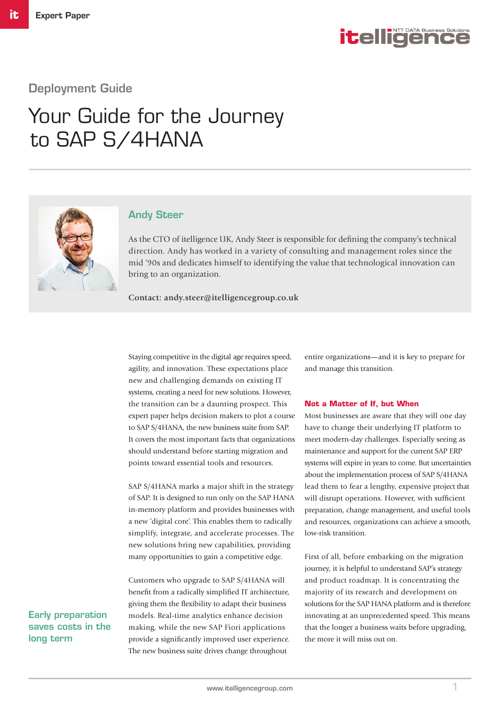

# Deployment Guide

# Your Guide for the Journey to SAP S/4HANA



## Andy Steer

As the CTO of itelligence UK, Andy Steer is responsible for defining the company's technical direction. Andy has worked in a variety of consulting and management roles since the mid '90s and dedicates himself to identifying the value that technological innovation can bring to an organization.

**Contact: andy.steer@itelligencegroup.co.uk**

Staying competitive in the digital age requires speed, agility, and innovation. These expectations place new and challenging demands on existing IT systems, creating a need for new solutions. However, the transition can be a daunting prospect. This expert paper helps decision makers to plot a course to SAP S/4HANA, the new business suite from SAP. It covers the most important facts that organizations should understand before starting migration and points toward essential tools and resources.

SAP S/4HANA marks a major shift in the strategy of SAP. It is designed to run only on the SAP HANA in-memory platform and provides businesses with a new 'digital core'. This enables them to radically simplify, integrate, and accelerate processes. The new solutions bring new capabilities, providing many opportunities to gain a competitive edge.

Customers who upgrade to SAP S/4HANA will benefit from a radically simplified IT architecture, giving them the flexibility to adapt their business models. Real-time analytics enhance decision making, while the new SAP Fiori applications provide a significantly improved user experience. The new business suite drives change throughout

entire organizations—and it is key to prepare for and manage this transition.

#### **Not a Matter of If, but When**

Most businesses are aware that they will one day have to change their underlying IT platform to meet modern-day challenges. Especially seeing as maintenance and support for the current SAP ERP systems will expire in years to come. But uncertainties about the implementation process of SAP S/4HANA lead them to fear a lengthy, expensive project that will disrupt operations. However, with sufficient preparation, change management, and useful tools and resources, organizations can achieve a smooth, low-risk transition.

First of all, before embarking on the migration journey, it is helpful to understand SAP's strategy and product roadmap. It is concentrating the majority of its research and development on solutions for the SAP HANA platform and is therefore innovating at an unprecedented speed. This means that the longer a business waits before upgrading, the more it will miss out on.

Early preparation saves costs in the long term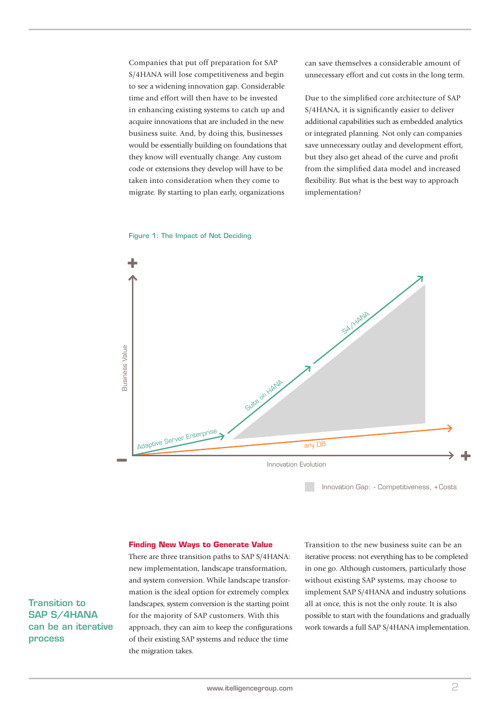Companies that put off preparation for SAP S/4HANA will lose competitiveness and begin to see a widening innovation gap. Considerable time and effort will then have to be invested in enhancing existing systems to catch up and acquire innovations that are included in the new business suite. And, by doing this, businesses would be essentially building on foundations that they know will eventually change. Any custom code or extensions they develop will have to be taken into consideration when they come to migrate. By starting to plan early, organizations

can save themselves a considerable amount of unnecessary effort and cut costs in the long term.

Due to the simplified core architecture of SAP S/4HANA, it is significantly easier to deliver additional capabilities such as embedded analytics or integrated planning. Not only can companies save unnecessary outlay and development effort, but they also get ahead of the curve and profit from the simplified data model and increased flexibility. But what is the best way to approach implementation?



Figure 1: The Impact of Not Deciding

Innovation Gap: - Competitiveness, + Costs

#### **Finding New Ways to Generate Value**

There are three transition paths to SAP S/4HANA: new implementation, landscape transformation, and system conversion. While landscape transformation is the ideal option for extremely complex landscapes, system conversion is the starting point for the majority of SAP customers. With this approach, they can aim to keep the configurations of their existing SAP systems and reduce the time the migration takes.

Transition to the new business suite can be an iterative process: not everything has to be completed in one go. Although customers, particularly those without existing SAP systems, may choose to implement SAP S/4HANA and industry solutions all at once, this is not the only route. It is also possible to start with the foundations and gradually work towards a full SAP S/4HANA implementation.

Transition to SAP S/4HANA can be an iterative process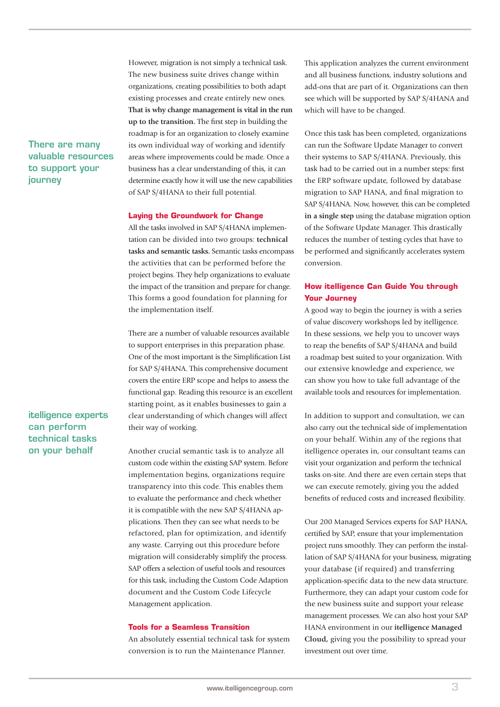# There are many valuable resources to support your journey

# itelligence experts can perform technical tasks on your behalf

However, migration is not simply a technical task. The new business suite drives change within organizations, creating possibilities to both adapt existing processes and create entirely new ones. **That is why change management is vital in the run up to the transition.** The first step in building the roadmap is for an organization to closely examine its own individual way of working and identify areas where improvements could be made. Once a business has a clear understanding of this, it can determine exactly how it will use the new capabilities of SAP S/4HANA to their full potential.

### **Laying the Groundwork for Change**

All the tasks involved in SAP S/4HANA implementation can be divided into two groups: **technical tasks and semantic tasks.** Semantic tasks encompass the activities that can be performed before the project begins. They help organizations to evaluate the impact of the transition and prepare for change. This forms a good foundation for planning for the implementation itself.

There are a number of valuable resources available to support enterprises in this preparation phase. One of the most important is the Simplification List for SAP S/4HANA. This comprehensive document covers the entire ERP scope and helps to assess the functional gap. Reading this resource is an excellent starting point, as it enables businesses to gain a clear understanding of which changes will affect their way of working.

Another crucial semantic task is to analyze all custom code within the existing SAP system. Before implementation begins, organizations require transparency into this code. This enables them to evaluate the performance and check whether it is compatible with the new SAP S/4HANA applications. Then they can see what needs to be refactored, plan for optimization, and identify any waste. Carrying out this procedure before migration will considerably simplify the process. SAP offers a selection of useful tools and resources for this task, including the Custom Code Adaption document and the Custom Code Lifecycle Management application.

#### **Tools for a Seamless Transition**

An absolutely essential technical task for system conversion is to run the Maintenance Planner.

This application analyzes the current environment and all business functions, industry solutions and add-ons that are part of it. Organizations can then see which will be supported by SAP S/4HANA and which will have to be changed.

Once this task has been completed, organizations can run the Software Update Manager to convert their systems to SAP S/4HANA. Previously, this task had to be carried out in a number steps: first the ERP software update, followed by database migration to SAP HANA, and final migration to SAP S/4HANA. Now, however, this can be completed **in a single step** using the database migration option of the Software Update Manager. This drastically reduces the number of testing cycles that have to be performed and significantly accelerates system conversion.

# **How itelligence Can Guide You through Your Journey**

A good way to begin the journey is with a series of value discovery workshops led by itelligence. In these sessions, we help you to uncover ways to reap the benefits of SAP S/4HANA and build a roadmap best suited to your organization. With our extensive knowledge and experience, we can show you how to take full advantage of the available tools and resources for implementation.

In addition to support and consultation, we can also carry out the technical side of implementation on your behalf. Within any of the regions that itelligence operates in, our consultant teams can visit your organization and perform the technical tasks on-site. And there are even certain steps that we can execute remotely, giving you the added benefits of reduced costs and increased flexibility.

Our 200 Managed Services experts for SAP HANA, certified by SAP, ensure that your implementation project runs smoothly. They can perform the installation of SAP S/4HANA for your business, migrating your database (if required) and transferring application-specific data to the new data structure. Furthermore, they can adapt your custom code for the new business suite and support your release management processes. We can also host your SAP HANA environment in our **itelligence Managed Cloud,** giving you the possibility to spread your investment out over time.